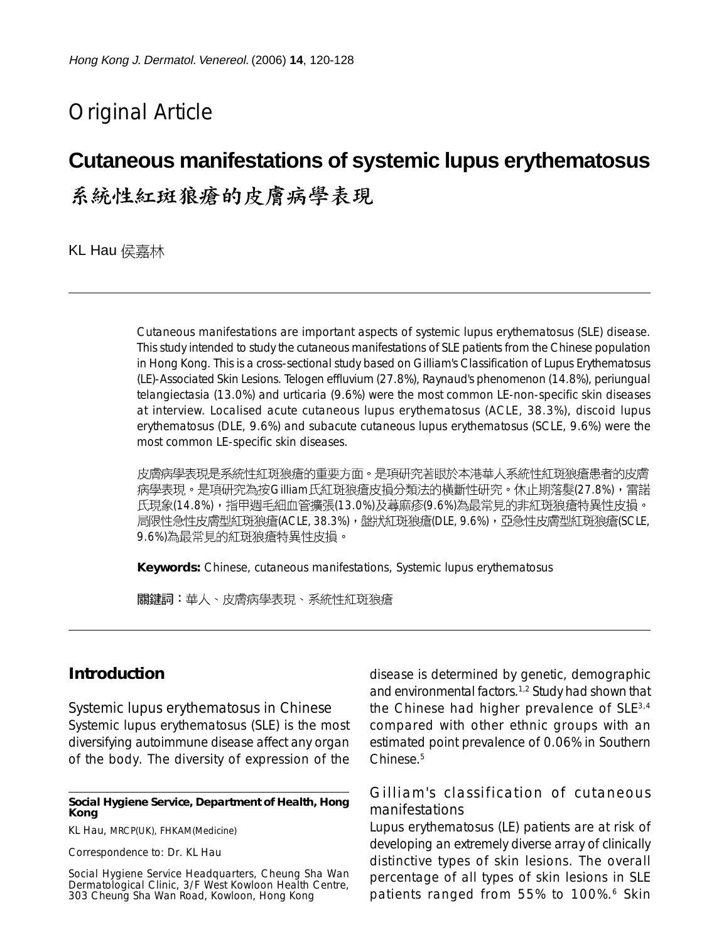# Original Article

# **Cutaneous manifestations of systemic lupus erythematosus**

系統性紅斑狼瘡的皮膚病學表現

KL Hau 侯嘉林

Cutaneous manifestations are important aspects of systemic lupus erythematosus (SLE) disease. This study intended to study the cutaneous manifestations of SLE patients from the Chinese population in Hong Kong. This is a cross-sectional study based on Gilliam's Classification of Lupus Erythematosus (LE)-Associated Skin Lesions. Telogen effluvium (27.8%), Raynaud's phenomenon (14.8%), periungual telangiectasia (13.0%) and urticaria (9.6%) were the most common LE-non-specific skin diseases at interview. Localised acute cutaneous lupus erythematosus (ACLE, 38.3%), discoid lupus erythematosus (DLE, 9.6%) and subacute cutaneous lupus erythematosus (SCLE, 9.6%) were the most common LE-specific skin diseases.

皮膚病學表現是系統性紅斑狼瘡的重要方面。是項研究著眼於本港華人系統性紅斑狼瘡患者的皮膚 病學表現。是項研究為按Gilliam氏紅斑狼瘡皮損分類法的橫斷性研究。休止期落髮(27.8%),雷諾 氏現象(14.8%),指甲週毛細血管擴張(13.0%)及蕁麻疹(9.6%)為最常見的非紅斑狼瘡特異性皮損。 局限性急性皮膚型紅斑狼瘡(ACLE, 38.3%),盤狀紅斑狼瘡(DLE, 9.6%),亞急性皮膚型紅斑狼瘡(SCLE, 9.6%)為最常見的紅斑狼瘡特異性皮損。

**Keywords:** Chinese, cutaneous manifestations, Systemic lupus erythematosus

關鍵詞:華人、皮膚病學表現、系統性紅斑狼瘡

# **Introduction**

*Systemic lupus erythematosus in Chinese*

Systemic lupus erythematosus (SLE) is the most diversifying autoimmune disease affect any organ of the body. The diversity of expression of the

#### **Social Hygiene Service, Department of Health, Hong Kong**

KL Hau, MRCP(UK), FHKAM(Medicine)

Correspondence to: Dr. KL Hau

Social Hygiene Service Headquarters, Cheung Sha Wan Dermatological Clinic, 3/F West Kowloon Health Centre, 303 Cheung Sha Wan Road, Kowloon, Hong Kong

disease is determined by genetic, demographic and environmental factors.1,2 Study had shown that the Chinese had higher prevalence of SLE3,4 compared with other ethnic groups with an estimated point prevalence of 0.06% in Southern Chinese.5

#### *Gilliam's classification of cutaneous manifestations*

Lupus erythematosus (LE) patients are at risk of developing an extremely diverse array of clinically distinctive types of skin lesions. The overall percentage of all types of skin lesions in SLE patients ranged from 55% to 100%.<sup>6</sup> Skin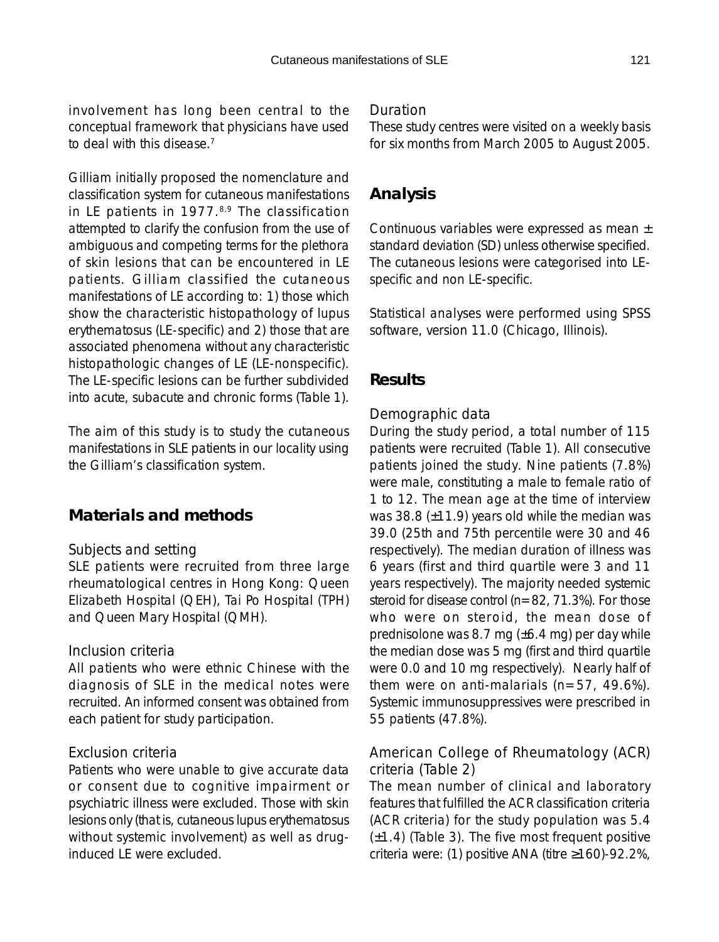involvement has long been central to the conceptual framework that physicians have used to deal with this disease.7

Gilliam initially proposed the nomenclature and classification system for cutaneous manifestations in LE patients in  $1977<sup>8,9</sup>$  The classification attempted to clarify the confusion from the use of ambiguous and competing terms for the plethora of skin lesions that can be encountered in LE patients. Gilliam classified the cutaneous manifestations of LE according to: 1) those which show the characteristic histopathology of lupus erythematosus (LE-specific) and 2) those that are associated phenomena without any characteristic histopathologic changes of LE (LE-nonspecific). The LE-specific lesions can be further subdivided into acute, subacute and chronic forms (Table 1).

The aim of this study is to study the cutaneous manifestations in SLE patients in our locality using the Gilliam's classification system.

# **Materials and methods**

#### *Subjects and setting*

SLE patients were recruited from three large rheumatological centres in Hong Kong: Queen Elizabeth Hospital (QEH), Tai Po Hospital (TPH) and Queen Mary Hospital (QMH).

#### *Inclusion criteria*

All patients who were ethnic Chinese with the diagnosis of SLE in the medical notes were recruited. An informed consent was obtained from each patient for study participation.

#### *Exclusion criteria*

Patients who were unable to give accurate data or consent due to cognitive impairment or psychiatric illness were excluded. Those with skin lesions only (that is, cutaneous lupus erythematosus without systemic involvement) as well as druginduced LE were excluded.

#### *Duration*

These study centres were visited on a weekly basis for six months from March 2005 to August 2005.

## **Analysis**

Continuous variables were expressed as mean ± standard deviation (SD) unless otherwise specified. The cutaneous lesions were categorised into LEspecific and non LE-specific.

Statistical analyses were performed using SPSS software, version 11.0 (Chicago, Illinois).

### **Results**

#### *Demographic data*

During the study period, a total number of 115 patients were recruited (Table 1). All consecutive patients joined the study. Nine patients (7.8%) were male, constituting a male to female ratio of 1 to 12. The mean age at the time of interview was 38.8 (±11.9) years old while the median was 39.0 (25th and 75th percentile were 30 and 46 respectively). The median duration of illness was 6 years (first and third quartile were 3 and 11 years respectively). The majority needed systemic steroid for disease control ( $n=82$ , 71.3%). For those who were on steroid, the mean dose of prednisolone was 8.7 mg (±6.4 mg) per day while the median dose was 5 mg (first and third quartile were 0.0 and 10 mg respectively). Nearly half of them were on anti-malarials (n=57, 49.6%). Systemic immunosuppressives were prescribed in 55 patients (47.8%).

### *American College of Rheumatology (ACR) criteria (Table 2)*

The mean number of clinical and laboratory features that fulfilled the ACR classification criteria (ACR criteria) for the study population was 5.4 (±1.4) (Table 3). The five most frequent positive criteria were: (1) positive ANA (titre ≥160)-92.2%,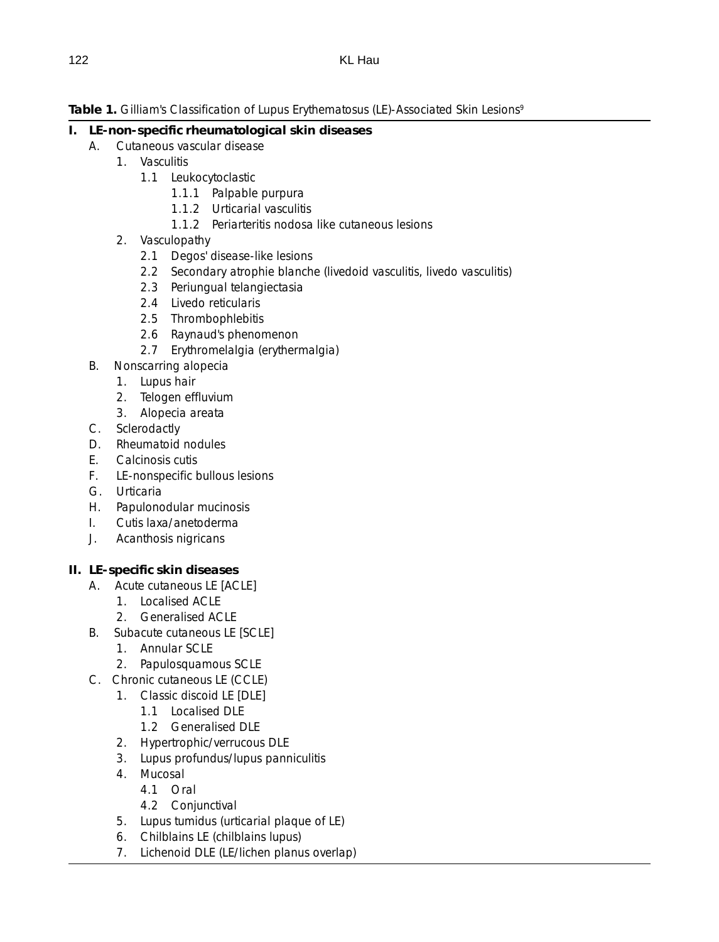Table 1. Gilliam's Classification of Lupus Erythematosus (LE)-Associated Skin Lesions<sup>9</sup>

#### **I. LE-non-specific rheumatological skin diseases**

- A. Cutaneous vascular disease
	- 1. Vasculitis
		- 1.1 Leukocytoclastic
			- 1.1.1 Palpable purpura
			- 1.1.2 Urticarial vasculitis
			- 1.1.2 Periarteritis nodosa like cutaneous lesions
	- 2. Vasculopathy
		- 2.1 Degos' disease-like lesions
		- 2.2 Secondary atrophie blanche (livedoid vasculitis, livedo vasculitis)
		- 2.3 Periungual telangiectasia
		- 2.4 Livedo reticularis
		- 2.5 Thrombophlebitis
		- 2.6 Raynaud's phenomenon
		- 2.7 Erythromelalgia (erythermalgia)
- B. Nonscarring alopecia
	- 1. Lupus hair
	- 2. Telogen effluvium
	- 3. Alopecia areata
- C. Sclerodactly
- D. Rheumatoid nodules
- E. Calcinosis cutis
- F. LE-nonspecific bullous lesions
- G. Urticaria
- H. Papulonodular mucinosis
- I. Cutis laxa/anetoderma
- J. Acanthosis nigricans

# **II. LE-specific skin diseases**

- A. Acute cutaneous LE [ACLE]
	- 1. Localised ACLE
	- 2. Generalised ACLE
- B. Subacute cutaneous LE [SCLE]
	- 1. Annular SCLE
	- 2. Papulosquamous SCLE
- C. Chronic cutaneous LE (CCLE)
	- 1. Classic discoid LE [DLE]
		- 1.1 Localised DLE
		- 1.2 Generalised DLE
	- 2. Hypertrophic/verrucous DLE
	- 3. Lupus profundus/lupus panniculitis
	- 4. Mucosal
		- 4.1 Oral
		- 4.2 Conjunctival
	- 5. Lupus tumidus (urticarial plaque of LE)
	- 6. Chilblains LE (chilblains lupus)
	- 7. Lichenoid DLE (LE/lichen planus overlap)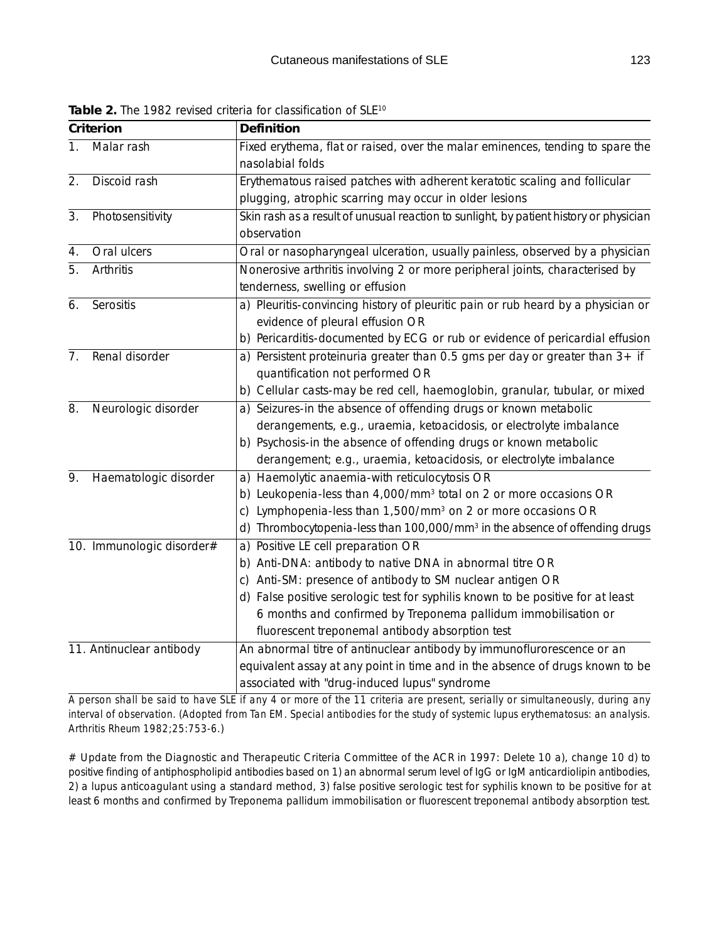| Criterion                |                           | Definition                                                                                            |  |  |  |  |  |  |
|--------------------------|---------------------------|-------------------------------------------------------------------------------------------------------|--|--|--|--|--|--|
| 1.                       | Malar rash                | Fixed erythema, flat or raised, over the malar eminences, tending to spare the<br>nasolabial folds    |  |  |  |  |  |  |
| 2.                       | Discoid rash              | Erythematous raised patches with adherent keratotic scaling and follicular                            |  |  |  |  |  |  |
|                          |                           | plugging, atrophic scarring may occur in older lesions                                                |  |  |  |  |  |  |
| 3.                       | Photosensitivity          | Skin rash as a result of unusual reaction to sunlight, by patient history or physician<br>observation |  |  |  |  |  |  |
| 4.                       | Oral ulcers               | Oral or nasopharyngeal ulceration, usually painless, observed by a physician                          |  |  |  |  |  |  |
| 5.                       | Arthritis                 | Nonerosive arthritis involving 2 or more peripheral joints, characterised by                          |  |  |  |  |  |  |
|                          |                           | tenderness, swelling or effusion                                                                      |  |  |  |  |  |  |
| 6.                       | Serositis                 | a) Pleuritis-convincing history of pleuritic pain or rub heard by a physician or                      |  |  |  |  |  |  |
|                          |                           | evidence of pleural effusion OR                                                                       |  |  |  |  |  |  |
|                          |                           | b) Pericarditis-documented by ECG or rub or evidence of pericardial effusion                          |  |  |  |  |  |  |
| 7.                       | Renal disorder            | a) Persistent proteinuria greater than $0.5$ gms per day or greater than $3+$ if                      |  |  |  |  |  |  |
|                          |                           | quantification not performed OR                                                                       |  |  |  |  |  |  |
|                          |                           | b) Cellular casts-may be red cell, haemoglobin, granular, tubular, or mixed                           |  |  |  |  |  |  |
| 8.                       | Neurologic disorder       | a) Seizures-in the absence of offending drugs or known metabolic                                      |  |  |  |  |  |  |
|                          |                           | derangements, e.g., uraemia, ketoacidosis, or electrolyte imbalance                                   |  |  |  |  |  |  |
|                          |                           | b) Psychosis-in the absence of offending drugs or known metabolic                                     |  |  |  |  |  |  |
|                          |                           | derangement; e.g., uraemia, ketoacidosis, or electrolyte imbalance                                    |  |  |  |  |  |  |
| 9.                       | Haematologic disorder     | a) Haemolytic anaemia-with reticulocytosis OR                                                         |  |  |  |  |  |  |
|                          |                           | Leukopenia-less than 4,000/mm <sup>3</sup> total on 2 or more occasions OR<br>b)                      |  |  |  |  |  |  |
|                          |                           | Lymphopenia-less than 1,500/mm <sup>3</sup> on 2 or more occasions OR<br>C)                           |  |  |  |  |  |  |
|                          |                           | Thrombocytopenia-less than 100,000/mm <sup>3</sup> in the absence of offending drugs<br>d)            |  |  |  |  |  |  |
|                          | 10. Immunologic disorder# | a) Positive LE cell preparation OR                                                                    |  |  |  |  |  |  |
|                          |                           | b) Anti-DNA: antibody to native DNA in abnormal titre OR                                              |  |  |  |  |  |  |
|                          |                           | Anti-SM: presence of antibody to SM nuclear antigen OR<br>C)                                          |  |  |  |  |  |  |
|                          |                           | d) False positive serologic test for syphilis known to be positive for at least                       |  |  |  |  |  |  |
|                          |                           | 6 months and confirmed by Treponema pallidum immobilisation or                                        |  |  |  |  |  |  |
|                          |                           | fluorescent treponemal antibody absorption test                                                       |  |  |  |  |  |  |
| 11. Antinuclear antibody |                           | An abnormal titre of antinuclear antibody by immunoflurorescence or an                                |  |  |  |  |  |  |
|                          |                           | equivalent assay at any point in time and in the absence of drugs known to be                         |  |  |  |  |  |  |
|                          |                           | associated with "drug-induced lupus" syndrome                                                         |  |  |  |  |  |  |

Table 2. The 1982 revised criteria for classification of SLE<sup>10</sup>

*A person shall be said to have SLE if any 4 or more of the 11 criteria are present, serially or simultaneously, during any interval of observation. (Adopted from Tan EM. Special antibodies for the study of systemic lupus erythematosus: an analysis. Arthritis Rheum 1982;25:753-6.*)

# Update from the Diagnostic and Therapeutic Criteria Committee of the ACR in 1997: Delete 10 a), change 10 d) to positive finding of antiphospholipid antibodies based on 1) an abnormal serum level of IgG or IgM anticardiolipin antibodies, 2) a lupus anticoagulant using a standard method, 3) false positive serologic test for syphilis known to be positive for at least 6 months and confirmed by Treponema pallidum immobilisation or fluorescent treponemal antibody absorption test.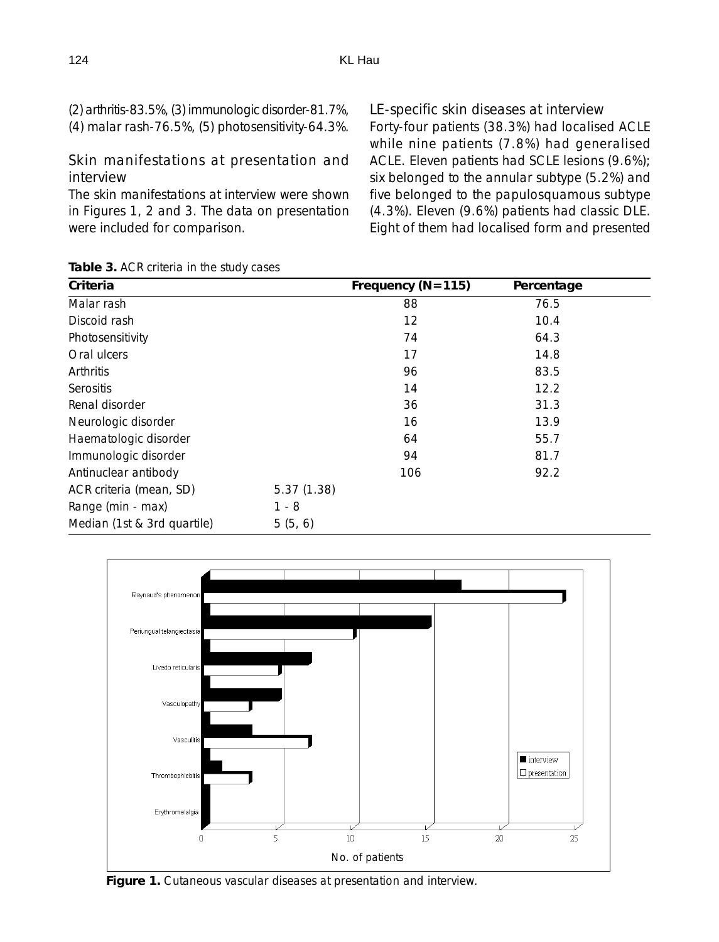| (2) arthritis-83.5%, (3) immunologic disorder-81.7%, |
|------------------------------------------------------|
| (4) malar rash-76.5%, (5) photosensitivity-64.3%.    |

#### *Skin manifestations at presentation and interview*

The skin manifestations at interview were shown in Figures 1, 2 and 3. The data on presentation were included for comparison.

#### *LE-specific skin diseases at interview*

Forty-four patients (38.3%) had localised ACLE while nine patients (7.8%) had generalised ACLE. Eleven patients had SCLE lesions (9.6%); six belonged to the annular subtype (5.2%) and five belonged to the papulosquamous subtype (4.3%). Eleven (9.6%) patients had classic DLE. Eight of them had localised form and presented

| Criteria                    |            | Frequency ( $N = 115$ ) | Percentage |  |
|-----------------------------|------------|-------------------------|------------|--|
| Malar rash                  |            | 88                      | 76.5       |  |
| Discoid rash                |            | 12                      | 10.4       |  |
| Photosensitivity            |            | 74                      | 64.3       |  |
| Oral ulcers                 |            | 17                      | 14.8       |  |
| Arthritis                   |            | 96                      | 83.5       |  |
| <b>Serositis</b>            |            | 14                      | 12.2       |  |
| Renal disorder              |            | 36                      | 31.3       |  |
| Neurologic disorder         |            | 16                      | 13.9       |  |
| Haematologic disorder       |            | 64                      | 55.7       |  |
| Immunologic disorder        |            | 94                      | 81.7       |  |
| Antinuclear antibody        |            | 106                     | 92.2       |  |
| ACR criteria (mean, SD)     | 5.37(1.38) |                         |            |  |
| Range (min - max)           | $1 - 8$    |                         |            |  |
| Median (1st & 3rd quartile) | 5(5, 6)    |                         |            |  |



**Figure 1.** Cutaneous vascular diseases at presentation and interview.

#### **Table 3.** ACR criteria in the study cases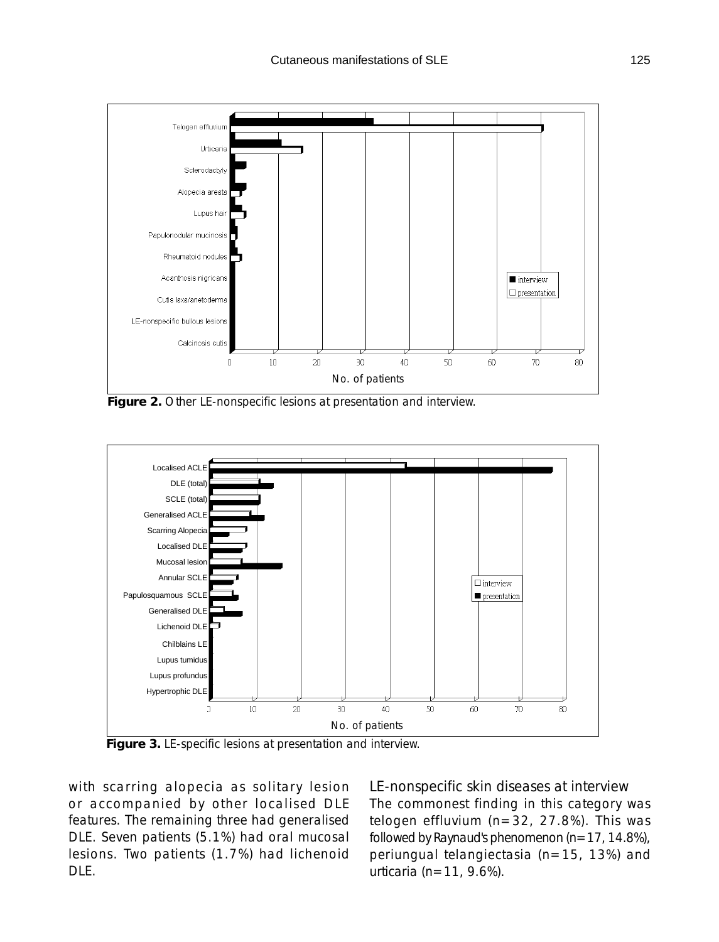

**Figure 2.** Other LE-nonspecific lesions at presentation and interview.



**Figure 3.** LE-specific lesions at presentation and interview.

with scarring alopecia as solitary lesion or accompanied by other localised DLE features. The remaining three had generalised DLE. Seven patients (5.1%) had oral mucosal lesions. Two patients (1.7%) had lichenoid DLE.

*LE-nonspecific skin diseases at interview* The commonest finding in this category was telogen effluvium (n=32, 27.8%). This was followed by Raynaud's phenomenon  $(n=17, 14.8\%)$ , periungual telangiectasia (n=15, 13%) and urticaria ( $n=11, 9.6\%$ ).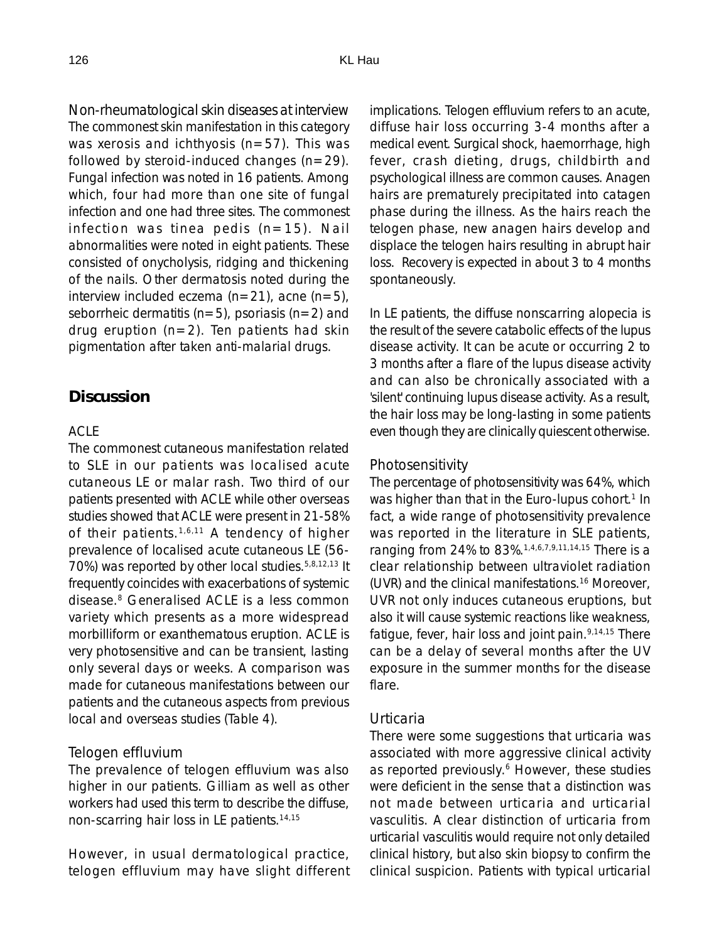*Non-rheumatological skin diseases at interview* The commonest skin manifestation in this category was xerosis and ichthyosis ( $n=57$ ). This was followed by steroid-induced changes  $(n=29)$ . Fungal infection was noted in 16 patients. Among which, four had more than one site of fungal infection and one had three sites. The commonest infection was tinea pedis  $(n=15)$ . Nail abnormalities were noted in eight patients. These consisted of onycholysis, ridging and thickening of the nails. Other dermatosis noted during the interview included eczema  $(n=21)$ , acne  $(n=5)$ , seborrheic dermatitis ( $n=5$ ), psoriasis ( $n=2$ ) and drug eruption  $(n=2)$ . Ten patients had skin pigmentation after taken anti-malarial drugs.

#### **Discussion**

#### *ACLE*

The commonest cutaneous manifestation related to SLE in our patients was localised acute cutaneous LE or malar rash. Two third of our patients presented with ACLE while other overseas studies showed that ACLE were present in 21-58% of their patients.<sup>1,6,11</sup> A tendency of higher prevalence of localised acute cutaneous LE (56- 70%) was reported by other local studies.5,8,12,13 It frequently coincides with exacerbations of systemic disease.8 Generalised ACLE is a less common variety which presents as a more widespread morbilliform or exanthematous eruption. ACLE is very photosensitive and can be transient, lasting only several days or weeks. A comparison was made for cutaneous manifestations between our patients and the cutaneous aspects from previous local and overseas studies (Table 4).

#### *Telogen effluvium*

The prevalence of telogen effluvium was also higher in our patients. Gilliam as well as other workers had used this term to describe the diffuse, non-scarring hair loss in LE patients.14,15

However, in usual dermatological practice, telogen effluvium may have slight different implications. Telogen effluvium refers to an acute, diffuse hair loss occurring 3-4 months after a medical event. Surgical shock, haemorrhage, high fever, crash dieting, drugs, childbirth and psychological illness are common causes. Anagen hairs are prematurely precipitated into catagen phase during the illness. As the hairs reach the telogen phase, new anagen hairs develop and displace the telogen hairs resulting in abrupt hair loss. Recovery is expected in about 3 to 4 months spontaneously.

In LE patients, the diffuse nonscarring alopecia is the result of the severe catabolic effects of the lupus disease activity. It can be acute or occurring 2 to 3 months after a flare of the lupus disease activity and can also be chronically associated with a 'silent' continuing lupus disease activity. As a result, the hair loss may be long-lasting in some patients even though they are clinically quiescent otherwise.

#### *Photosensitivity*

The percentage of photosensitivity was 64%, which was higher than that in the Euro-lupus cohort.<sup>1</sup> In fact, a wide range of photosensitivity prevalence was reported in the literature in SLE patients, ranging from 24% to 83%.1,4,6,7,9,11,14,15 There is a clear relationship between ultraviolet radiation (UVR) and the clinical manifestations.16 Moreover, UVR not only induces cutaneous eruptions, but also it will cause systemic reactions like weakness, fatigue, fever, hair loss and joint pain.<sup>9,14,15</sup> There can be a delay of several months after the UV exposure in the summer months for the disease flare.

#### *Urticaria*

There were some suggestions that urticaria was associated with more aggressive clinical activity as reported previously.<sup>6</sup> However, these studies were deficient in the sense that a distinction was not made between urticaria and urticarial vasculitis. A clear distinction of urticaria from urticarial vasculitis would require not only detailed clinical history, but also skin biopsy to confirm the clinical suspicion. Patients with typical urticarial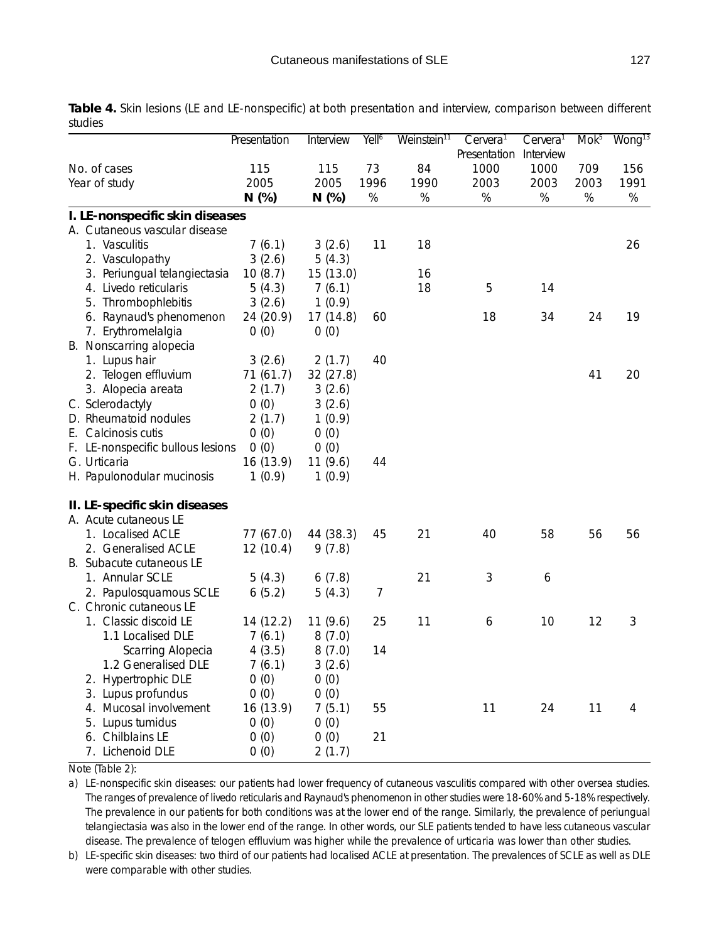|                                   | Presentation | Interview | Yell <sup>6</sup> | Weinstein <sup>11</sup> | Cervera <sup>1</sup> | Cervera <sup>1</sup> |      | Mok <sup>5</sup> Wong <sup>13</sup> |
|-----------------------------------|--------------|-----------|-------------------|-------------------------|----------------------|----------------------|------|-------------------------------------|
| No. of cases                      | 115          | 115       | 73                | 84                      | Presentation<br>1000 | Interview<br>1000    | 709  | 156                                 |
| Year of study                     | 2005         | 2005      | 1996              | 1990                    | 2003                 | 2003                 | 2003 | 1991                                |
|                                   | $N$ (%)      | $N$ (%)   | $\%$              | %                       | $\%$                 | %                    | $\%$ | $\%$                                |
| I. LE-nonspecific skin diseases   |              |           |                   |                         |                      |                      |      |                                     |
| A. Cutaneous vascular disease     |              |           |                   |                         |                      |                      |      |                                     |
| 1. Vasculitis                     | 7(6.1)       | 3(2.6)    | 11                | 18                      |                      |                      |      | 26                                  |
| 2. Vasculopathy                   | 3(2.6)       | 5(4.3)    |                   |                         |                      |                      |      |                                     |
| 3. Periungual telangiectasia      | 10(8.7)      | 15 (13.0) |                   | 16                      |                      |                      |      |                                     |
| 4. Livedo reticularis             | 5(4.3)       | 7(6.1)    |                   | 18                      | 5                    | 14                   |      |                                     |
|                                   |              |           |                   |                         |                      |                      |      |                                     |
| 5. Thrombophlebitis               | 3(2.6)       | 1(0.9)    |                   |                         |                      |                      | 24   | 19                                  |
| 6. Raynaud's phenomenon           | 24 (20.9)    | 17 (14.8) | 60                |                         | 18                   | 34                   |      |                                     |
| 7. Erythromelalgia                | O(0)         | O(0)      |                   |                         |                      |                      |      |                                     |
| B. Nonscarring alopecia           |              |           |                   |                         |                      |                      |      |                                     |
| 1. Lupus hair                     | 3(2.6)       | 2(1.7)    | 40                |                         |                      |                      |      |                                     |
| 2. Telogen effluvium              | 71 (61.7)    | 32(27.8)  |                   |                         |                      |                      | 41   | 20                                  |
| 3. Alopecia areata                | 2(1.7)       | 3(2.6)    |                   |                         |                      |                      |      |                                     |
| C. Sclerodactyly                  | O(0)         | 3(2.6)    |                   |                         |                      |                      |      |                                     |
| D. Rheumatoid nodules             | 2(1.7)       | 1(0.9)    |                   |                         |                      |                      |      |                                     |
| E. Calcinosis cutis               | O(0)         | 0(0)      |                   |                         |                      |                      |      |                                     |
| F. LE-nonspecific bullous lesions | 0(0)         | O(0)      |                   |                         |                      |                      |      |                                     |
| G. Urticaria                      | 16 (13.9)    | 11(9.6)   | 44                |                         |                      |                      |      |                                     |
| H. Papulonodular mucinosis        | 1(0.9)       | 1(0.9)    |                   |                         |                      |                      |      |                                     |
| II. LE-specific skin diseases     |              |           |                   |                         |                      |                      |      |                                     |
| A. Acute cutaneous LE             |              |           |                   |                         |                      |                      |      |                                     |
| 1. Localised ACLE                 | 77 (67.0)    | 44 (38.3) | 45                | 21                      | 40                   | 58                   | 56   | 56                                  |
| 2. Generalised ACLE               | 12 (10.4)    | 9(7.8)    |                   |                         |                      |                      |      |                                     |
| B. Subacute cutaneous LE          |              |           |                   |                         |                      |                      |      |                                     |
| 1. Annular SCLE                   | 5(4.3)       | 6(7.8)    |                   | 21                      | 3                    | 6                    |      |                                     |
| 2. Papulosquamous SCLE            | 6(5.2)       | 5(4.3)    | $\overline{7}$    |                         |                      |                      |      |                                     |
| C. Chronic cutaneous LE           |              |           |                   |                         |                      |                      |      |                                     |
| 1. Classic discoid LE             | 14 (12.2)    | 11(9.6)   | 25                | 11                      | 6                    | 10                   | 12   | 3                                   |
| 1.1 Localised DLE                 | 7(6.1)       | 8(7.0)    |                   |                         |                      |                      |      |                                     |
| Scarring Alopecia                 | 4(3.5)       | 8(7.0)    | 14                |                         |                      |                      |      |                                     |
| 1.2 Generalised DLE               | 7(6.1)       | 3(2.6)    |                   |                         |                      |                      |      |                                     |
| 2. Hypertrophic DLE               | 0(0)         | O(0)      |                   |                         |                      |                      |      |                                     |
| 3. Lupus profundus                | 0(0)         | 0(0)      |                   |                         |                      |                      |      |                                     |
| 4. Mucosal involvement            | 16 (13.9)    | 7(5.1)    | 55                |                         | 11                   | 24                   | 11   | 4                                   |
| 5. Lupus tumidus                  | 0(0)         | O(0)      |                   |                         |                      |                      |      |                                     |
| 6. Chilblains LE                  | O(0)         | 0(0)      | 21                |                         |                      |                      |      |                                     |
| 7. Lichenoid DLE                  | 0(0)         | 2(1.7)    |                   |                         |                      |                      |      |                                     |
|                                   |              |           |                   |                         |                      |                      |      |                                     |

**Table 4.** Skin lesions (LE and LE-nonspecific) at both presentation and interview, comparison between different studies

Note (Table 2):

a) LE-nonspecific skin diseases: our patients had lower frequency of cutaneous vasculitis compared with other oversea studies. The ranges of prevalence of livedo reticularis and Raynaud's phenomenon in other studies were 18-60% and 5-18% respectively. The prevalence in our patients for both conditions was at the lower end of the range. Similarly, the prevalence of periungual telangiectasia was also in the lower end of the range. In other words, our SLE patients tended to have less cutaneous vascular disease. The prevalence of telogen effluvium was higher while the prevalence of urticaria was lower than other studies.

b) LE-specific skin diseases: two third of our patients had localised ACLE at presentation. The prevalences of SCLE as well as DLE were comparable with other studies.